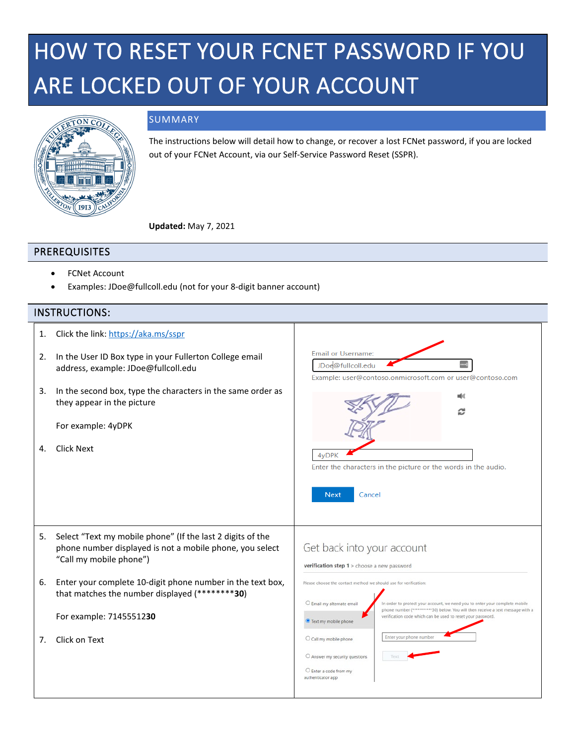## HOW TO RESET YOUR FCNET PASSWORD IF YOU ARE LOCKED OUT OF YOUR ACCOUNT



## SUMMARY

The instructions below will detail how to change, or recover a lost FCNet password, if you are locked out of your FCNet Account, via our Self-Service Password Reset (SSPR).

**Updated:** May 7, 2021

## PREREQUISITES

- FCNet Account
- Examples: JDoe@fullcoll.edu (not for your 8-digit banner account)

## INSTRUCTIONS:

| 1.<br>2.<br>3.<br>4. | Click the link: https://aka.ms/sspr<br>In the User ID Box type in your Fullerton College email<br>address, example: JDoe@fullcoll.edu<br>In the second box, type the characters in the same order as<br>they appear in the picture<br>For example: 4yDPK<br><b>Click Next</b>                                 | <b>Email or Username:</b><br>JDoe@fullcoll.edu<br>Example: user@contoso.onmicrosoft.com or user@contoso.com<br>4 <sub>v</sub> DPK<br>Enter the characters in the picture or the words in the audio.<br><b>Next</b><br>Cancel                                                                                                                                                                                                                                                                                                                                                       |
|----------------------|---------------------------------------------------------------------------------------------------------------------------------------------------------------------------------------------------------------------------------------------------------------------------------------------------------------|------------------------------------------------------------------------------------------------------------------------------------------------------------------------------------------------------------------------------------------------------------------------------------------------------------------------------------------------------------------------------------------------------------------------------------------------------------------------------------------------------------------------------------------------------------------------------------|
| 5.<br>6.<br>7.       | Select "Text my mobile phone" (If the last 2 digits of the<br>phone number displayed is not a mobile phone, you select<br>"Call my mobile phone")<br>Enter your complete 10-digit phone number in the text box,<br>that matches the number displayed (********30)<br>For example: 7145551230<br>Click on Text | Get back into your account<br>verification step 1 > choose a new password<br>Please choose the contact method we should use for verification:<br>C Email my alternate email<br>In order to protect your account, we need you to enter your complete mobile<br>phone number (***********30) below. You will then receive a text message with a<br>verification code which can be used to reset your password<br>Text my mobile phone<br>Enter your phone number<br>O Call my mobile phone<br>$\bigcirc$ Answer my security questions<br>C Enter a code from my<br>authenticator app |